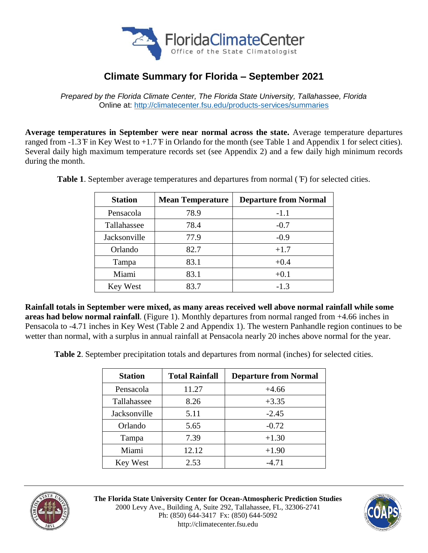

# **Climate Summary for Florida – September 2021**

*Prepared by the Florida Climate Center, The Florida State University, Tallahassee, Florida* Online at:<http://climatecenter.fsu.edu/products-services/summaries>

**Average temperatures in September were near normal across the state.** Average temperature departures ranged from -1.3 ̊F in Key West to +1.7 ̊F in Orlando for the month (see Table 1 and Appendix 1 for select cities). Several daily high maximum temperature records set (see Appendix 2) and a few daily high minimum records during the month.

| <b>Station</b>   | <b>Mean Temperature</b> | <b>Departure from Normal</b> |  |
|------------------|-------------------------|------------------------------|--|
| Pensacola        | 78.9                    | $-1.1$                       |  |
| Tallahassee      | 78.4                    | $-0.7$                       |  |
| Jacksonville     | 77.9                    | $-0.9$                       |  |
| Orlando          | 82.7                    | $+1.7$                       |  |
| Tampa            | 83.1                    | $+0.4$                       |  |
| Miami<br>83.1    |                         | $+0.1$                       |  |
| 83.7<br>Key West |                         | $-1.3$                       |  |

**Table 1**. September average temperatures and departures from normal ( ̊F) for selected cities.

**Rainfall totals in September were mixed, as many areas received well above normal rainfall while some areas had below normal rainfall**. (Figure 1). Monthly departures from normal ranged from +4.66 inches in Pensacola to -4.71 inches in Key West (Table 2 and Appendix 1). The western Panhandle region continues to be wetter than normal, with a surplus in annual rainfall at Pensacola nearly 20 inches above normal for the year.

**Table 2**. September precipitation totals and departures from normal (inches) for selected cities.

| <b>Station</b> | <b>Total Rainfall</b> | <b>Departure from Normal</b> |  |
|----------------|-----------------------|------------------------------|--|
| Pensacola      | 11.27                 | $+4.66$                      |  |
| Tallahassee    | 8.26                  | $+3.35$                      |  |
| Jacksonville   | 5.11                  | $-2.45$                      |  |
| Orlando        | 5.65                  | $-0.72$                      |  |
| Tampa          | 7.39                  | $+1.30$                      |  |
| Miami<br>12.12 |                       | $+1.90$                      |  |
| Key West       | 2.53                  | $-4.71$                      |  |



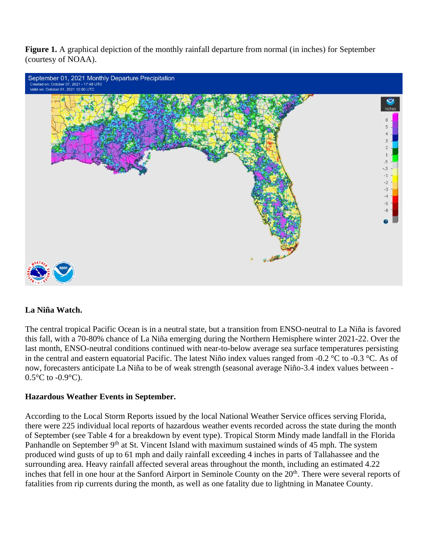**Figure 1.** A graphical depiction of the monthly rainfall departure from normal (in inches) for September (courtesy of NOAA).



## **La Niña Watch.**

The central tropical Pacific Ocean is in a neutral state, but a transition from ENSO-neutral to La Niña is favored this fall, with a 70-80% chance of La Niña emerging during the Northern Hemisphere winter 2021-22. Over the last month, ENSO-neutral conditions continued with near-to-below average sea surface temperatures persisting in the central and eastern equatorial Pacific. The latest Niño index values ranged from -0.2 °C to -0.3 °C. As of now, forecasters anticipate La Niña to be of weak strength (seasonal average Niño-3.4 index values between -  $0.5^{\circ}$ C to - $0.9^{\circ}$ C).

## **Hazardous Weather Events in September.**

According to the Local Storm Reports issued by the local National Weather Service offices serving Florida, there were 225 individual local reports of hazardous weather events recorded across the state during the month of September (see Table 4 for a breakdown by event type). Tropical Storm Mindy made landfall in the Florida Panhandle on September 9<sup>th</sup> at St. Vincent Island with maximum sustained winds of 45 mph. The system produced wind gusts of up to 61 mph and daily rainfall exceeding 4 inches in parts of Tallahassee and the surrounding area. Heavy rainfall affected several areas throughout the month, including an estimated 4.22 inches that fell in one hour at the Sanford Airport in Seminole County on the 20<sup>th</sup>. There were several reports of fatalities from rip currents during the month, as well as one fatality due to lightning in Manatee County.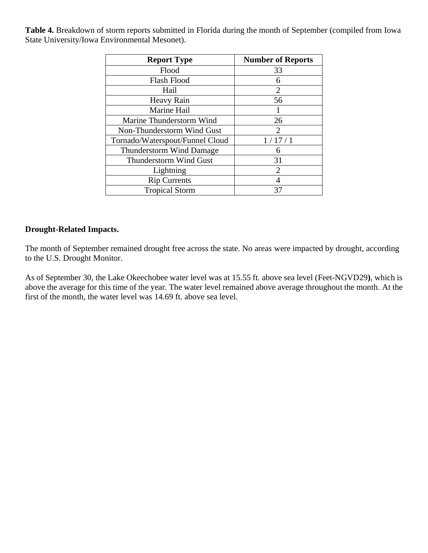**Table 4.** Breakdown of storm reports submitted in Florida during the month of September (compiled from Iowa State University/Iowa Environmental Mesonet).

| <b>Report Type</b>              | <b>Number of Reports</b> |  |  |
|---------------------------------|--------------------------|--|--|
| Flood                           | 33                       |  |  |
| <b>Flash Flood</b>              | 6                        |  |  |
| Hail                            | 2                        |  |  |
| <b>Heavy Rain</b>               | 56                       |  |  |
| Marine Hail                     |                          |  |  |
| Marine Thunderstorm Wind        | 26                       |  |  |
| Non-Thunderstorm Wind Gust      | $\mathcal{D}$            |  |  |
| Tornado/Waterspout/Funnel Cloud | 1/17/1                   |  |  |
| <b>Thunderstorm Wind Damage</b> |                          |  |  |
| <b>Thunderstorm Wind Gust</b>   | 31                       |  |  |
| Lightning                       | $\mathcal{D}_{\cdot}$    |  |  |
| <b>Rip Currents</b>             |                          |  |  |
| <b>Tropical Storm</b>           | 37                       |  |  |

## **Drought-Related Impacts.**

The month of September remained drought free across the state. No areas were impacted by drought, according to the U.S. Drought Monitor.

As of September 30, the Lake Okeechobee water level was at 15.55 ft. above sea level (Feet-NGVD29**)**, which is above the average for this time of the year. The water level remained above average throughout the month. At the first of the month, the water level was 14.69 ft. above sea level.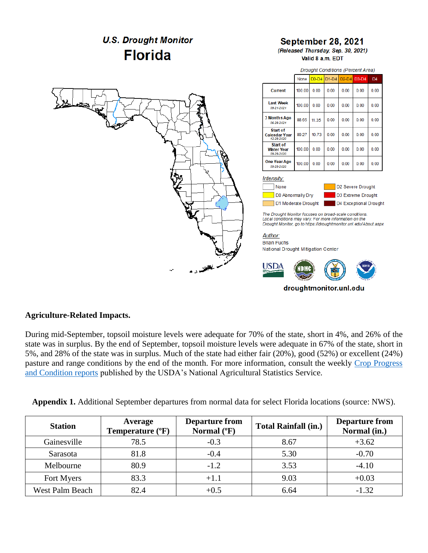

## **Agriculture-Related Impacts.**

During mid-September, topsoil moisture levels were adequate for 70% of the state, short in 4%, and 26% of the state was in surplus. By the end of September, topsoil moisture levels were adequate in 67% of the state, short in 5%, and 28% of the state was in surplus. Much of the state had either fair (20%), good (52%) or excellent (24%) pasture and range conditions by the end of the month. For more information, consult the weekly Crop Progress [and Condition reports](https://usda.library.cornell.edu/concern/publications/8336h188j?locale=en) published by the USDA's National Agricultural Statistics Service.

|  |  |  | <b>Appendix 1.</b> Additional September departures from normal data for select Florida locations (source: NWS). |  |
|--|--|--|-----------------------------------------------------------------------------------------------------------------|--|
|--|--|--|-----------------------------------------------------------------------------------------------------------------|--|

| <b>Station</b>         | Average<br>Temperature (°F) | <b>Departure from</b><br>Normal $(^{\circ}F)$ | <b>Total Rainfall (in.)</b> | <b>Departure from</b><br>Normal (in.) |
|------------------------|-----------------------------|-----------------------------------------------|-----------------------------|---------------------------------------|
| Gainesville            | 78.5                        | $-0.3$                                        | 8.67                        | $+3.62$                               |
| Sarasota               | 81.8                        | $-0.4$                                        | 5.30                        | $-0.70$                               |
| Melbourne              | 80.9                        | $-1.2$                                        | 3.53                        | $-4.10$                               |
| Fort Myers             | 83.3                        | $+1.1$                                        | 9.03                        | $+0.03$                               |
| <b>West Palm Beach</b> | 82.4                        | $+0.5$                                        | 6.64                        | $-1.32$                               |